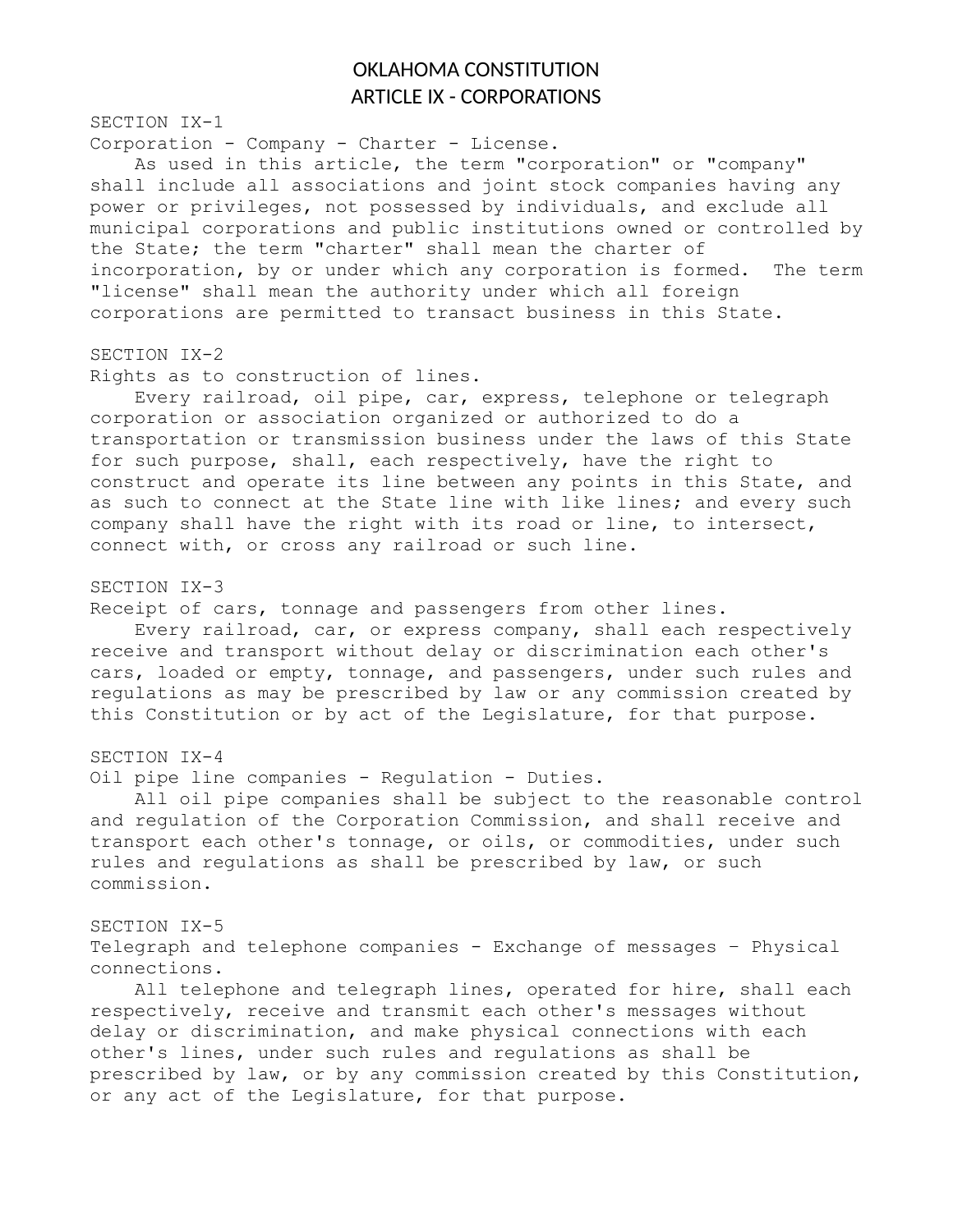# OKLAHOMA CONSTITUTION ARTICLE IX - CORPORATIONS

SECTION IX-1

Corporation - Company - Charter - License.

As used in this article, the term "corporation" or "company" shall include all associations and joint stock companies having any power or privileges, not possessed by individuals, and exclude all municipal corporations and public institutions owned or controlled by the State; the term "charter" shall mean the charter of incorporation, by or under which any corporation is formed. The term "license" shall mean the authority under which all foreign corporations are permitted to transact business in this State.

# SECTION IX-2

Rights as to construction of lines.

Every railroad, oil pipe, car, express, telephone or telegraph corporation or association organized or authorized to do a transportation or transmission business under the laws of this State for such purpose, shall, each respectively, have the right to construct and operate its line between any points in this State, and as such to connect at the State line with like lines; and every such company shall have the right with its road or line, to intersect, connect with, or cross any railroad or such line.

### SECTION IX-3

Receipt of cars, tonnage and passengers from other lines.

Every railroad, car, or express company, shall each respectively receive and transport without delay or discrimination each other's cars, loaded or empty, tonnage, and passengers, under such rules and regulations as may be prescribed by law or any commission created by this Constitution or by act of the Legislature, for that purpose.

SECTION IX-4

All oil pipe companies shall be subject to the reasonable control and regulation of the Corporation Commission, and shall receive and transport each other's tonnage, or oils, or commodities, under such rules and regulations as shall be prescribed by law, or such commission.

#### SECTION IX-5

Telegraph and telephone companies - Exchange of messages – Physical connections.

All telephone and telegraph lines, operated for hire, shall each respectively, receive and transmit each other's messages without delay or discrimination, and make physical connections with each other's lines, under such rules and regulations as shall be prescribed by law, or by any commission created by this Constitution, or any act of the Legislature, for that purpose.

Oil pipe line companies - Regulation - Duties.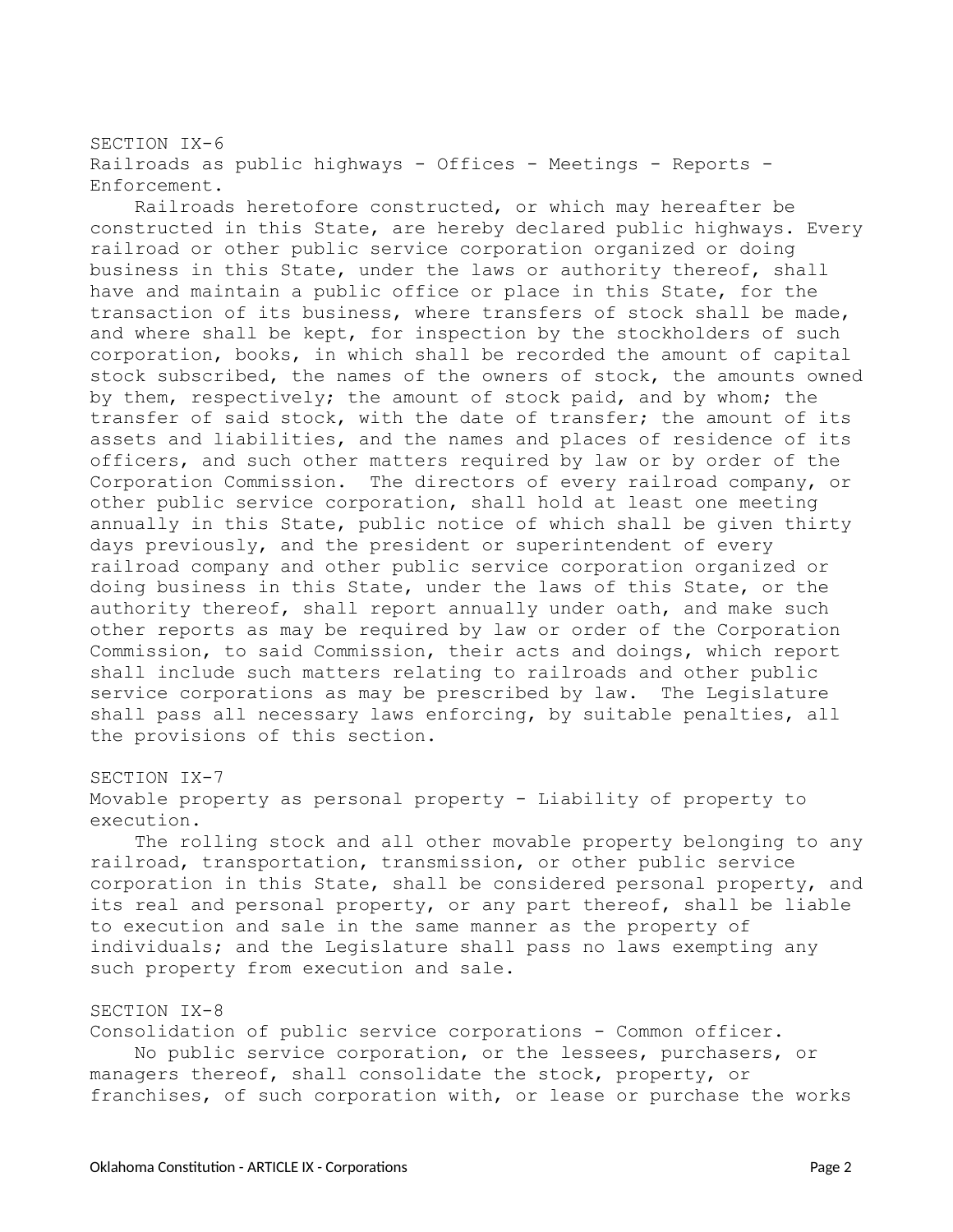SECTION IX-6 Railroads as public highways - Offices - Meetings - Reports -Enforcement.

Railroads heretofore constructed, or which may hereafter be constructed in this State, are hereby declared public highways. Every railroad or other public service corporation organized or doing business in this State, under the laws or authority thereof, shall have and maintain a public office or place in this State, for the transaction of its business, where transfers of stock shall be made, and where shall be kept, for inspection by the stockholders of such corporation, books, in which shall be recorded the amount of capital stock subscribed, the names of the owners of stock, the amounts owned by them, respectively; the amount of stock paid, and by whom; the transfer of said stock, with the date of transfer; the amount of its assets and liabilities, and the names and places of residence of its officers, and such other matters required by law or by order of the Corporation Commission. The directors of every railroad company, or other public service corporation, shall hold at least one meeting annually in this State, public notice of which shall be given thirty days previously, and the president or superintendent of every railroad company and other public service corporation organized or doing business in this State, under the laws of this State, or the authority thereof, shall report annually under oath, and make such other reports as may be required by law or order of the Corporation Commission, to said Commission, their acts and doings, which report shall include such matters relating to railroads and other public service corporations as may be prescribed by law. The Legislature shall pass all necessary laws enforcing, by suitable penalties, all the provisions of this section.

### SECTION IX-7

Movable property as personal property - Liability of property to execution.

The rolling stock and all other movable property belonging to any railroad, transportation, transmission, or other public service corporation in this State, shall be considered personal property, and its real and personal property, or any part thereof, shall be liable to execution and sale in the same manner as the property of individuals; and the Legislature shall pass no laws exempting any such property from execution and sale.

# SECTION IX-8

Consolidation of public service corporations - Common officer. No public service corporation, or the lessees, purchasers, or managers thereof, shall consolidate the stock, property, or franchises, of such corporation with, or lease or purchase the works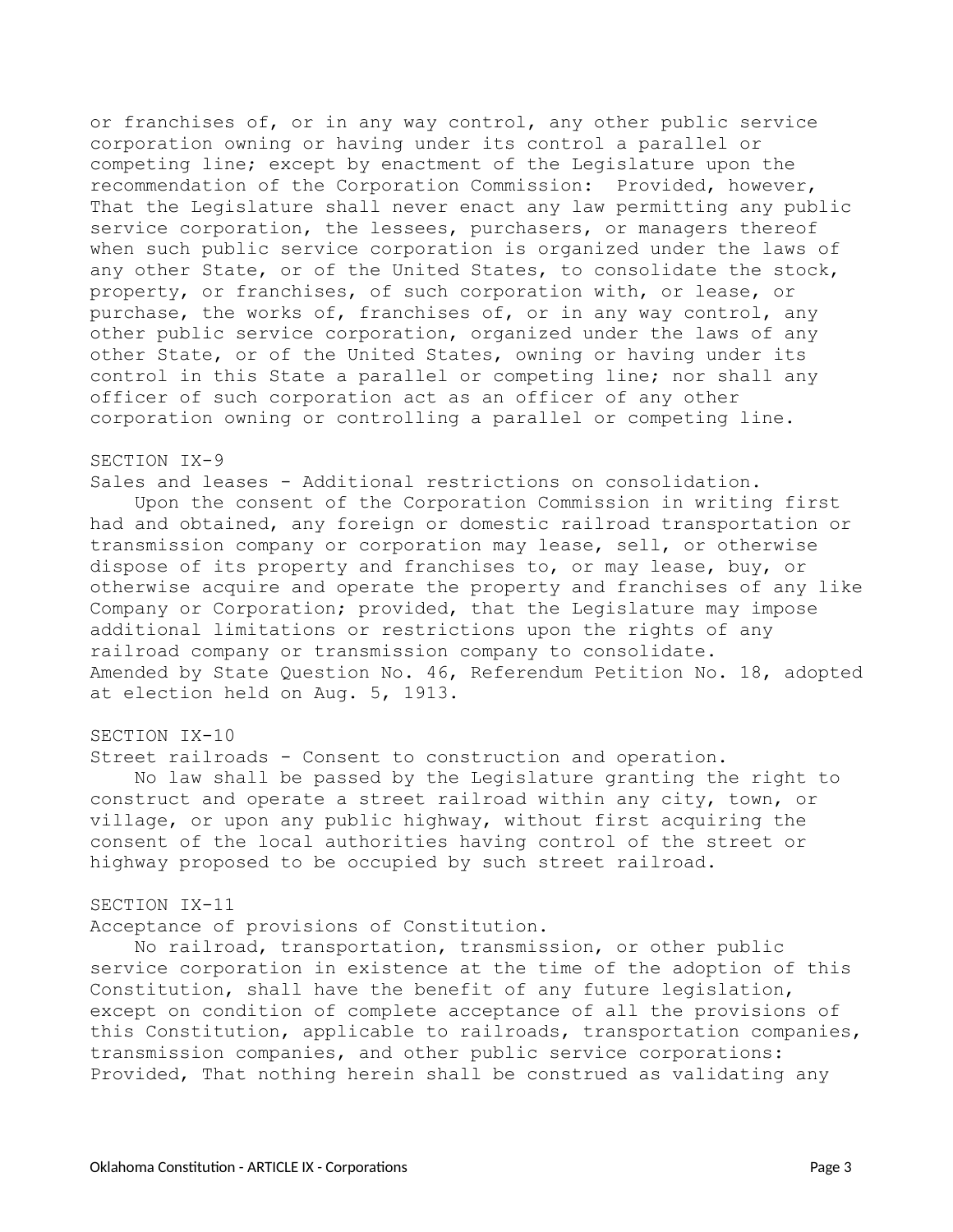or franchises of, or in any way control, any other public service corporation owning or having under its control a parallel or competing line; except by enactment of the Legislature upon the recommendation of the Corporation Commission: Provided, however, That the Legislature shall never enact any law permitting any public service corporation, the lessees, purchasers, or managers thereof when such public service corporation is organized under the laws of any other State, or of the United States, to consolidate the stock, property, or franchises, of such corporation with, or lease, or purchase, the works of, franchises of, or in any way control, any other public service corporation, organized under the laws of any other State, or of the United States, owning or having under its control in this State a parallel or competing line; nor shall any officer of such corporation act as an officer of any other corporation owning or controlling a parallel or competing line.

### SECTION IX-9

Sales and leases - Additional restrictions on consolidation.

Upon the consent of the Corporation Commission in writing first had and obtained, any foreign or domestic railroad transportation or transmission company or corporation may lease, sell, or otherwise dispose of its property and franchises to, or may lease, buy, or otherwise acquire and operate the property and franchises of any like Company or Corporation; provided, that the Legislature may impose additional limitations or restrictions upon the rights of any railroad company or transmission company to consolidate. Amended by State Question No. 46, Referendum Petition No. 18, adopted at election held on Aug. 5, 1913.

# SECTION IX-10

Street railroads - Consent to construction and operation.

No law shall be passed by the Legislature granting the right to construct and operate a street railroad within any city, town, or village, or upon any public highway, without first acquiring the consent of the local authorities having control of the street or highway proposed to be occupied by such street railroad.

#### SECTION IX-11

Acceptance of provisions of Constitution.

No railroad, transportation, transmission, or other public service corporation in existence at the time of the adoption of this Constitution, shall have the benefit of any future legislation, except on condition of complete acceptance of all the provisions of this Constitution, applicable to railroads, transportation companies, transmission companies, and other public service corporations: Provided, That nothing herein shall be construed as validating any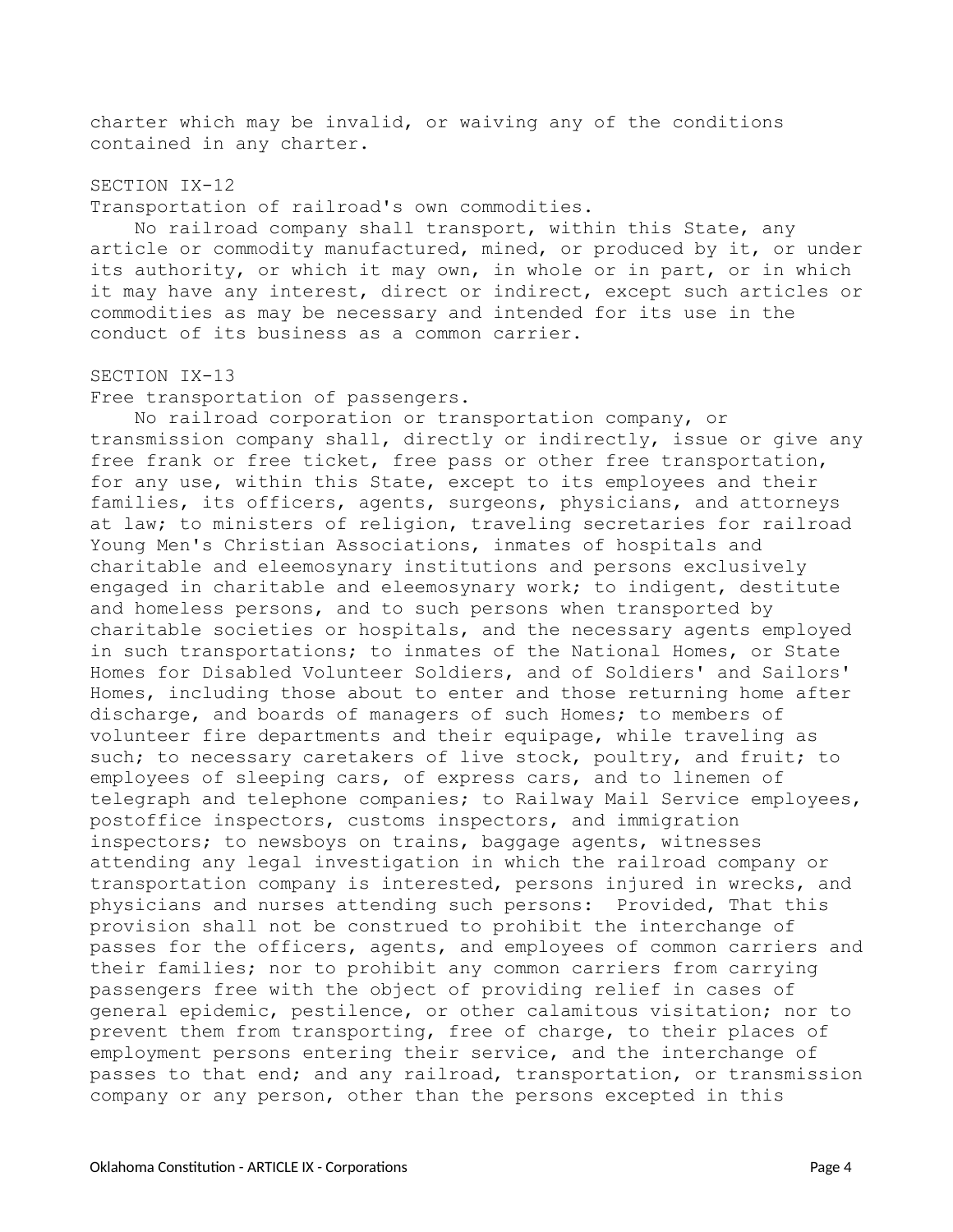charter which may be invalid, or waiving any of the conditions contained in any charter.

### SECTION IX-12

Transportation of railroad's own commodities.

No railroad company shall transport, within this State, any article or commodity manufactured, mined, or produced by it, or under its authority, or which it may own, in whole or in part, or in which it may have any interest, direct or indirect, except such articles or commodities as may be necessary and intended for its use in the conduct of its business as a common carrier.

# SECTION IX-13

Free transportation of passengers.

No railroad corporation or transportation company, or transmission company shall, directly or indirectly, issue or give any free frank or free ticket, free pass or other free transportation, for any use, within this State, except to its employees and their families, its officers, agents, surgeons, physicians, and attorneys at law; to ministers of religion, traveling secretaries for railroad Young Men's Christian Associations, inmates of hospitals and charitable and eleemosynary institutions and persons exclusively engaged in charitable and eleemosynary work; to indigent, destitute and homeless persons, and to such persons when transported by charitable societies or hospitals, and the necessary agents employed in such transportations; to inmates of the National Homes, or State Homes for Disabled Volunteer Soldiers, and of Soldiers' and Sailors' Homes, including those about to enter and those returning home after discharge, and boards of managers of such Homes; to members of volunteer fire departments and their equipage, while traveling as such; to necessary caretakers of live stock, poultry, and fruit; to employees of sleeping cars, of express cars, and to linemen of telegraph and telephone companies; to Railway Mail Service employees, postoffice inspectors, customs inspectors, and immigration inspectors; to newsboys on trains, baggage agents, witnesses attending any legal investigation in which the railroad company or transportation company is interested, persons injured in wrecks, and physicians and nurses attending such persons: Provided, That this provision shall not be construed to prohibit the interchange of passes for the officers, agents, and employees of common carriers and their families; nor to prohibit any common carriers from carrying passengers free with the object of providing relief in cases of general epidemic, pestilence, or other calamitous visitation; nor to prevent them from transporting, free of charge, to their places of employment persons entering their service, and the interchange of passes to that end; and any railroad, transportation, or transmission company or any person, other than the persons excepted in this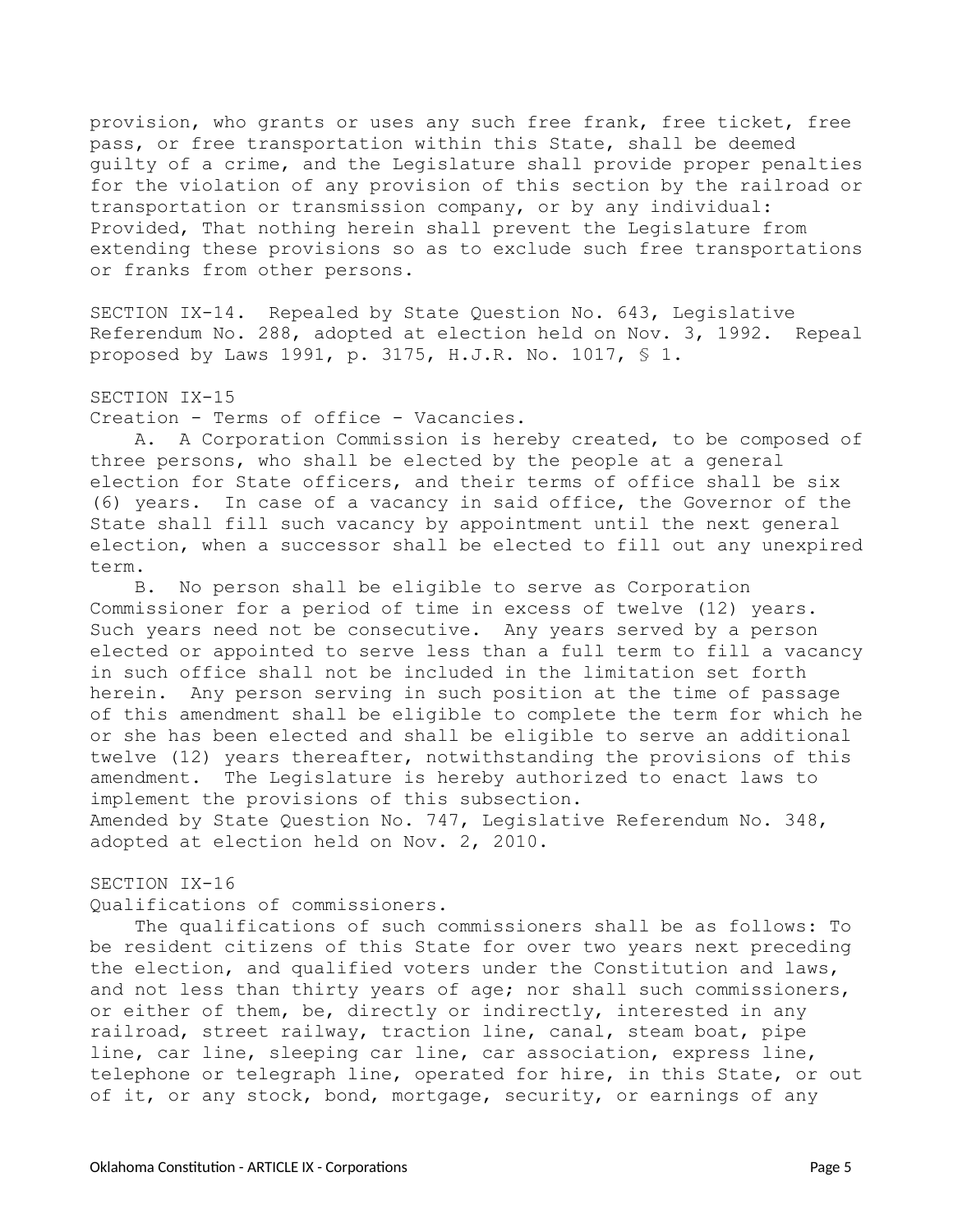provision, who grants or uses any such free frank, free ticket, free pass, or free transportation within this State, shall be deemed guilty of a crime, and the Legislature shall provide proper penalties for the violation of any provision of this section by the railroad or transportation or transmission company, or by any individual: Provided, That nothing herein shall prevent the Legislature from extending these provisions so as to exclude such free transportations or franks from other persons.

SECTION IX-14. Repealed by State Question No. 643, Legislative Referendum No. 288, adopted at election held on Nov. 3, 1992. Repeal proposed by Laws 1991, p. 3175, H.J.R. No. 1017, § 1.

#### SECTION IX-15

Creation - Terms of office - Vacancies.

A. A Corporation Commission is hereby created, to be composed of three persons, who shall be elected by the people at a general election for State officers, and their terms of office shall be six (6) years. In case of a vacancy in said office, the Governor of the State shall fill such vacancy by appointment until the next general election, when a successor shall be elected to fill out any unexpired term.

B. No person shall be eligible to serve as Corporation Commissioner for a period of time in excess of twelve (12) years. Such years need not be consecutive. Any years served by a person elected or appointed to serve less than a full term to fill a vacancy in such office shall not be included in the limitation set forth herein. Any person serving in such position at the time of passage of this amendment shall be eligible to complete the term for which he or she has been elected and shall be eligible to serve an additional twelve (12) years thereafter, notwithstanding the provisions of this amendment. The Legislature is hereby authorized to enact laws to implement the provisions of this subsection. Amended by State Question No. 747, Legislative Referendum No. 348, adopted at election held on Nov. 2, 2010.

#### SECTION IX-16

Qualifications of commissioners.

The qualifications of such commissioners shall be as follows: To be resident citizens of this State for over two years next preceding the election, and qualified voters under the Constitution and laws, and not less than thirty years of age; nor shall such commissioners, or either of them, be, directly or indirectly, interested in any railroad, street railway, traction line, canal, steam boat, pipe line, car line, sleeping car line, car association, express line, telephone or telegraph line, operated for hire, in this State, or out of it, or any stock, bond, mortgage, security, or earnings of any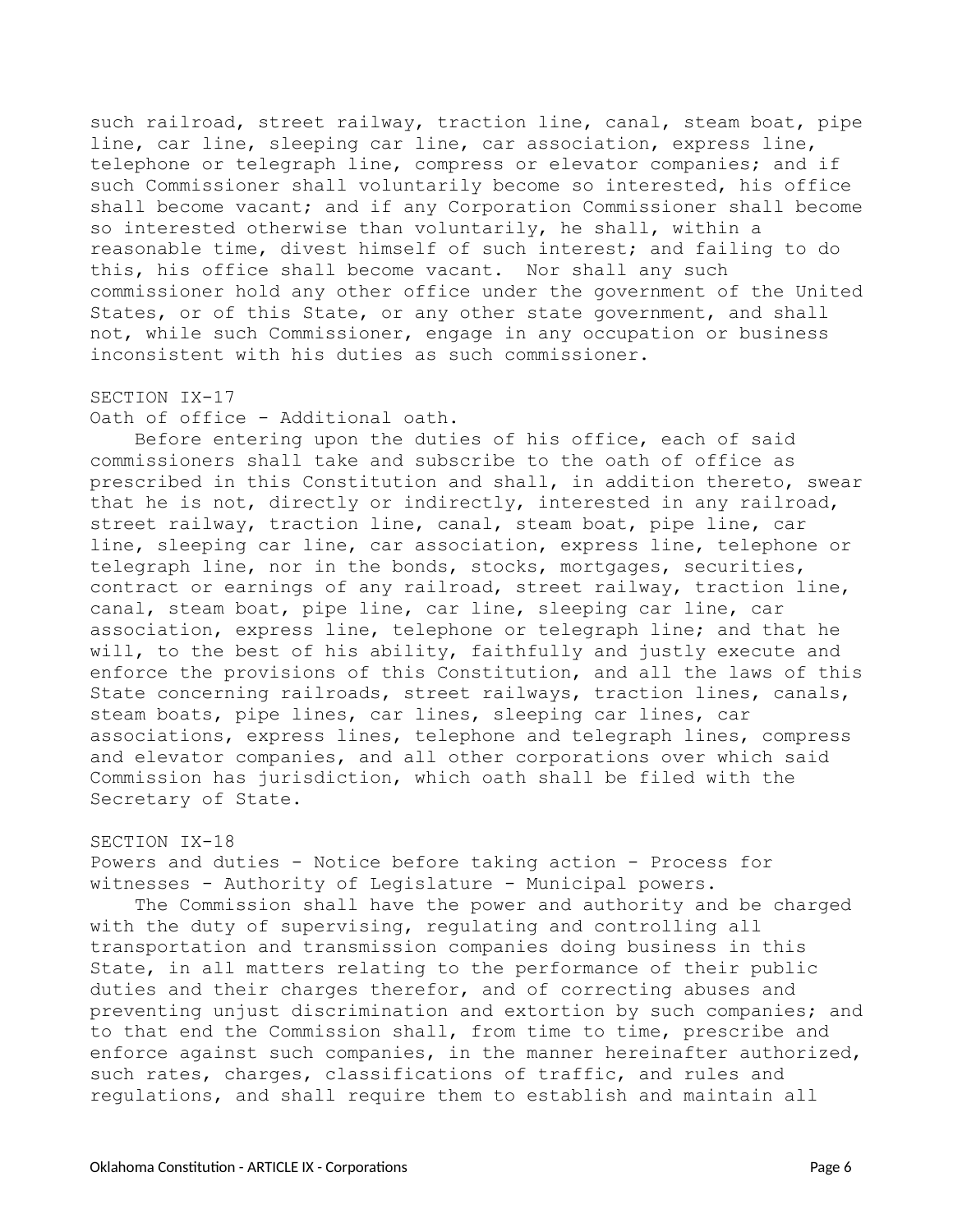such railroad, street railway, traction line, canal, steam boat, pipe line, car line, sleeping car line, car association, express line, telephone or telegraph line, compress or elevator companies; and if such Commissioner shall voluntarily become so interested, his office shall become vacant; and if any Corporation Commissioner shall become so interested otherwise than voluntarily, he shall, within a reasonable time, divest himself of such interest; and failing to do this, his office shall become vacant. Nor shall any such commissioner hold any other office under the government of the United States, or of this State, or any other state government, and shall not, while such Commissioner, engage in any occupation or business inconsistent with his duties as such commissioner.

### SECTION IX-17

Oath of office - Additional oath.

Before entering upon the duties of his office, each of said commissioners shall take and subscribe to the oath of office as prescribed in this Constitution and shall, in addition thereto, swear that he is not, directly or indirectly, interested in any railroad, street railway, traction line, canal, steam boat, pipe line, car line, sleeping car line, car association, express line, telephone or telegraph line, nor in the bonds, stocks, mortgages, securities, contract or earnings of any railroad, street railway, traction line, canal, steam boat, pipe line, car line, sleeping car line, car association, express line, telephone or telegraph line; and that he will, to the best of his ability, faithfully and justly execute and enforce the provisions of this Constitution, and all the laws of this State concerning railroads, street railways, traction lines, canals, steam boats, pipe lines, car lines, sleeping car lines, car associations, express lines, telephone and telegraph lines, compress and elevator companies, and all other corporations over which said Commission has jurisdiction, which oath shall be filed with the Secretary of State.

### SECTION IX-18

Powers and duties - Notice before taking action - Process for witnesses - Authority of Legislature - Municipal powers.

The Commission shall have the power and authority and be charged with the duty of supervising, regulating and controlling all transportation and transmission companies doing business in this State, in all matters relating to the performance of their public duties and their charges therefor, and of correcting abuses and preventing unjust discrimination and extortion by such companies; and to that end the Commission shall, from time to time, prescribe and enforce against such companies, in the manner hereinafter authorized, such rates, charges, classifications of traffic, and rules and regulations, and shall require them to establish and maintain all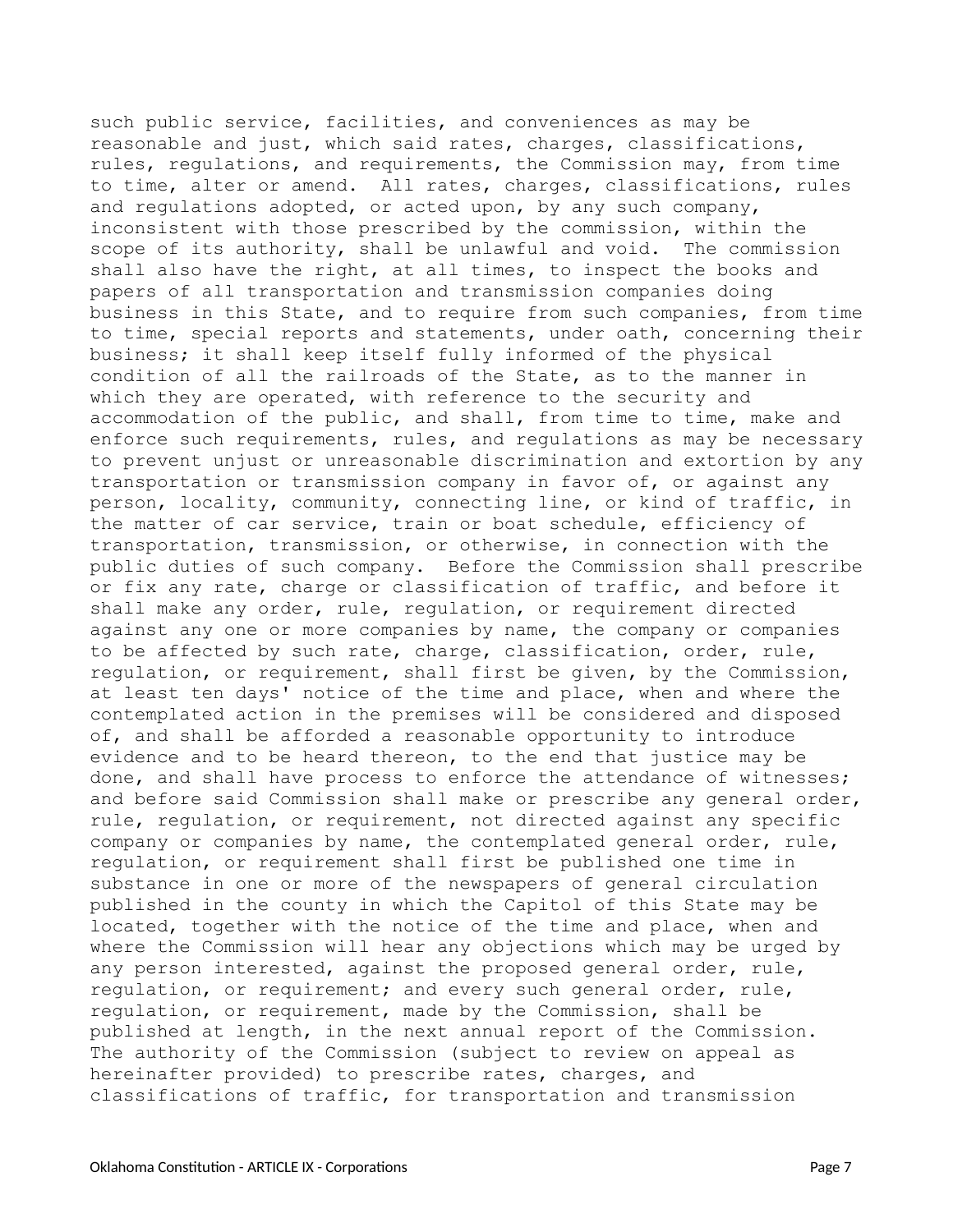such public service, facilities, and conveniences as may be reasonable and just, which said rates, charges, classifications, rules, regulations, and requirements, the Commission may, from time to time, alter or amend. All rates, charges, classifications, rules and regulations adopted, or acted upon, by any such company, inconsistent with those prescribed by the commission, within the scope of its authority, shall be unlawful and void. The commission shall also have the right, at all times, to inspect the books and papers of all transportation and transmission companies doing business in this State, and to require from such companies, from time to time, special reports and statements, under oath, concerning their business; it shall keep itself fully informed of the physical condition of all the railroads of the State, as to the manner in which they are operated, with reference to the security and accommodation of the public, and shall, from time to time, make and enforce such requirements, rules, and regulations as may be necessary to prevent unjust or unreasonable discrimination and extortion by any transportation or transmission company in favor of, or against any person, locality, community, connecting line, or kind of traffic, in the matter of car service, train or boat schedule, efficiency of transportation, transmission, or otherwise, in connection with the public duties of such company. Before the Commission shall prescribe or fix any rate, charge or classification of traffic, and before it shall make any order, rule, regulation, or requirement directed against any one or more companies by name, the company or companies to be affected by such rate, charge, classification, order, rule, regulation, or requirement, shall first be given, by the Commission, at least ten days' notice of the time and place, when and where the contemplated action in the premises will be considered and disposed of, and shall be afforded a reasonable opportunity to introduce evidence and to be heard thereon, to the end that justice may be done, and shall have process to enforce the attendance of witnesses; and before said Commission shall make or prescribe any general order, rule, regulation, or requirement, not directed against any specific company or companies by name, the contemplated general order, rule, regulation, or requirement shall first be published one time in substance in one or more of the newspapers of general circulation published in the county in which the Capitol of this State may be located, together with the notice of the time and place, when and where the Commission will hear any objections which may be urged by any person interested, against the proposed general order, rule, regulation, or requirement; and every such general order, rule, regulation, or requirement, made by the Commission, shall be published at length, in the next annual report of the Commission. The authority of the Commission (subject to review on appeal as hereinafter provided) to prescribe rates, charges, and classifications of traffic, for transportation and transmission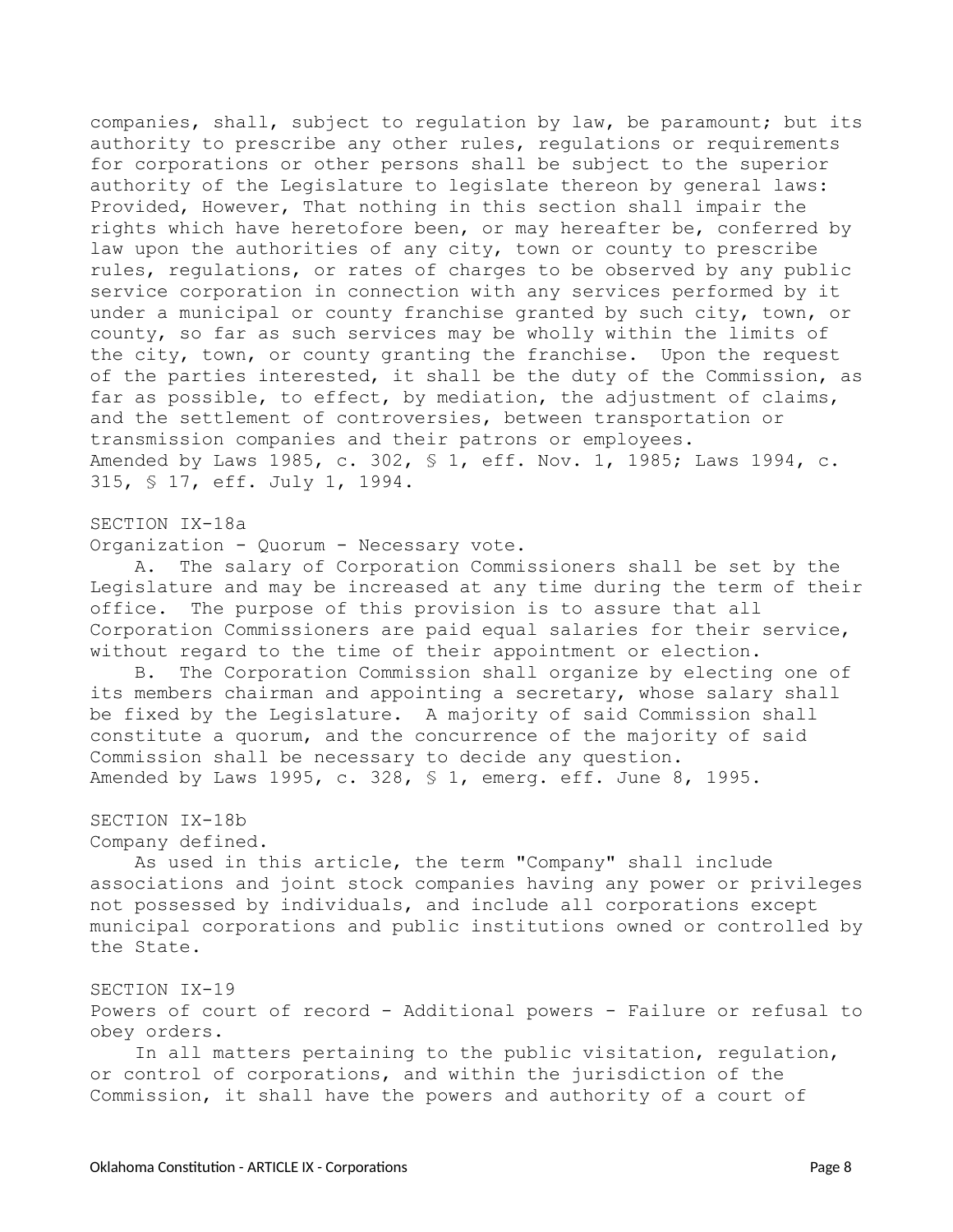companies, shall, subject to regulation by law, be paramount; but its authority to prescribe any other rules, regulations or requirements for corporations or other persons shall be subject to the superior authority of the Legislature to legislate thereon by general laws: Provided, However, That nothing in this section shall impair the rights which have heretofore been, or may hereafter be, conferred by law upon the authorities of any city, town or county to prescribe rules, regulations, or rates of charges to be observed by any public service corporation in connection with any services performed by it under a municipal or county franchise granted by such city, town, or county, so far as such services may be wholly within the limits of the city, town, or county granting the franchise. Upon the request of the parties interested, it shall be the duty of the Commission, as far as possible, to effect, by mediation, the adjustment of claims, and the settlement of controversies, between transportation or transmission companies and their patrons or employees. Amended by Laws 1985, c. 302, § 1, eff. Nov. 1, 1985; Laws 1994, c. 315, § 17, eff. July 1, 1994.

### SECTION IX-18a

Organization - Quorum - Necessary vote.

A. The salary of Corporation Commissioners shall be set by the Legislature and may be increased at any time during the term of their office. The purpose of this provision is to assure that all Corporation Commissioners are paid equal salaries for their service, without regard to the time of their appointment or election.

B. The Corporation Commission shall organize by electing one of its members chairman and appointing a secretary, whose salary shall be fixed by the Legislature. A majority of said Commission shall constitute a quorum, and the concurrence of the majority of said Commission shall be necessary to decide any question. Amended by Laws 1995, c. 328, § 1, emerg. eff. June 8, 1995.

#### SECTION IX-18b

Company defined.

As used in this article, the term "Company" shall include associations and joint stock companies having any power or privileges not possessed by individuals, and include all corporations except municipal corporations and public institutions owned or controlled by the State.

#### SECTION IX-19

Powers of court of record - Additional powers - Failure or refusal to obey orders.

In all matters pertaining to the public visitation, regulation, or control of corporations, and within the jurisdiction of the Commission, it shall have the powers and authority of a court of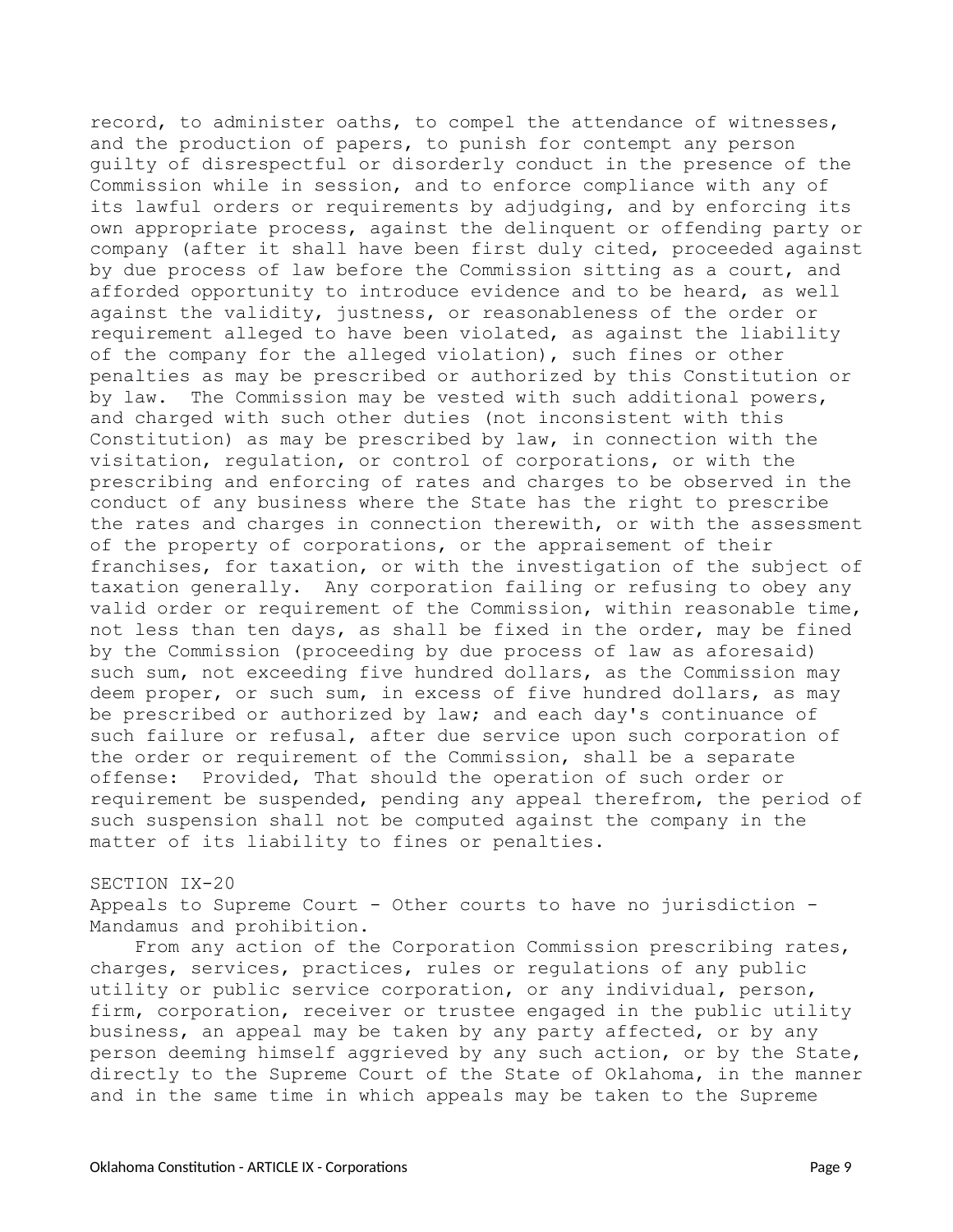record, to administer oaths, to compel the attendance of witnesses, and the production of papers, to punish for contempt any person guilty of disrespectful or disorderly conduct in the presence of the Commission while in session, and to enforce compliance with any of its lawful orders or requirements by adjudging, and by enforcing its own appropriate process, against the delinquent or offending party or company (after it shall have been first duly cited, proceeded against by due process of law before the Commission sitting as a court, and afforded opportunity to introduce evidence and to be heard, as well against the validity, justness, or reasonableness of the order or requirement alleged to have been violated, as against the liability of the company for the alleged violation), such fines or other penalties as may be prescribed or authorized by this Constitution or by law. The Commission may be vested with such additional powers, and charged with such other duties (not inconsistent with this Constitution) as may be prescribed by law, in connection with the visitation, regulation, or control of corporations, or with the prescribing and enforcing of rates and charges to be observed in the conduct of any business where the State has the right to prescribe the rates and charges in connection therewith, or with the assessment of the property of corporations, or the appraisement of their franchises, for taxation, or with the investigation of the subject of taxation generally. Any corporation failing or refusing to obey any valid order or requirement of the Commission, within reasonable time, not less than ten days, as shall be fixed in the order, may be fined by the Commission (proceeding by due process of law as aforesaid) such sum, not exceeding five hundred dollars, as the Commission may deem proper, or such sum, in excess of five hundred dollars, as may be prescribed or authorized by law; and each day's continuance of such failure or refusal, after due service upon such corporation of the order or requirement of the Commission, shall be a separate offense: Provided, That should the operation of such order or requirement be suspended, pending any appeal therefrom, the period of such suspension shall not be computed against the company in the matter of its liability to fines or penalties.

#### SECTION IX-20

Appeals to Supreme Court - Other courts to have no jurisdiction - Mandamus and prohibition.

From any action of the Corporation Commission prescribing rates, charges, services, practices, rules or regulations of any public utility or public service corporation, or any individual, person, firm, corporation, receiver or trustee engaged in the public utility business, an appeal may be taken by any party affected, or by any person deeming himself aggrieved by any such action, or by the State, directly to the Supreme Court of the State of Oklahoma, in the manner and in the same time in which appeals may be taken to the Supreme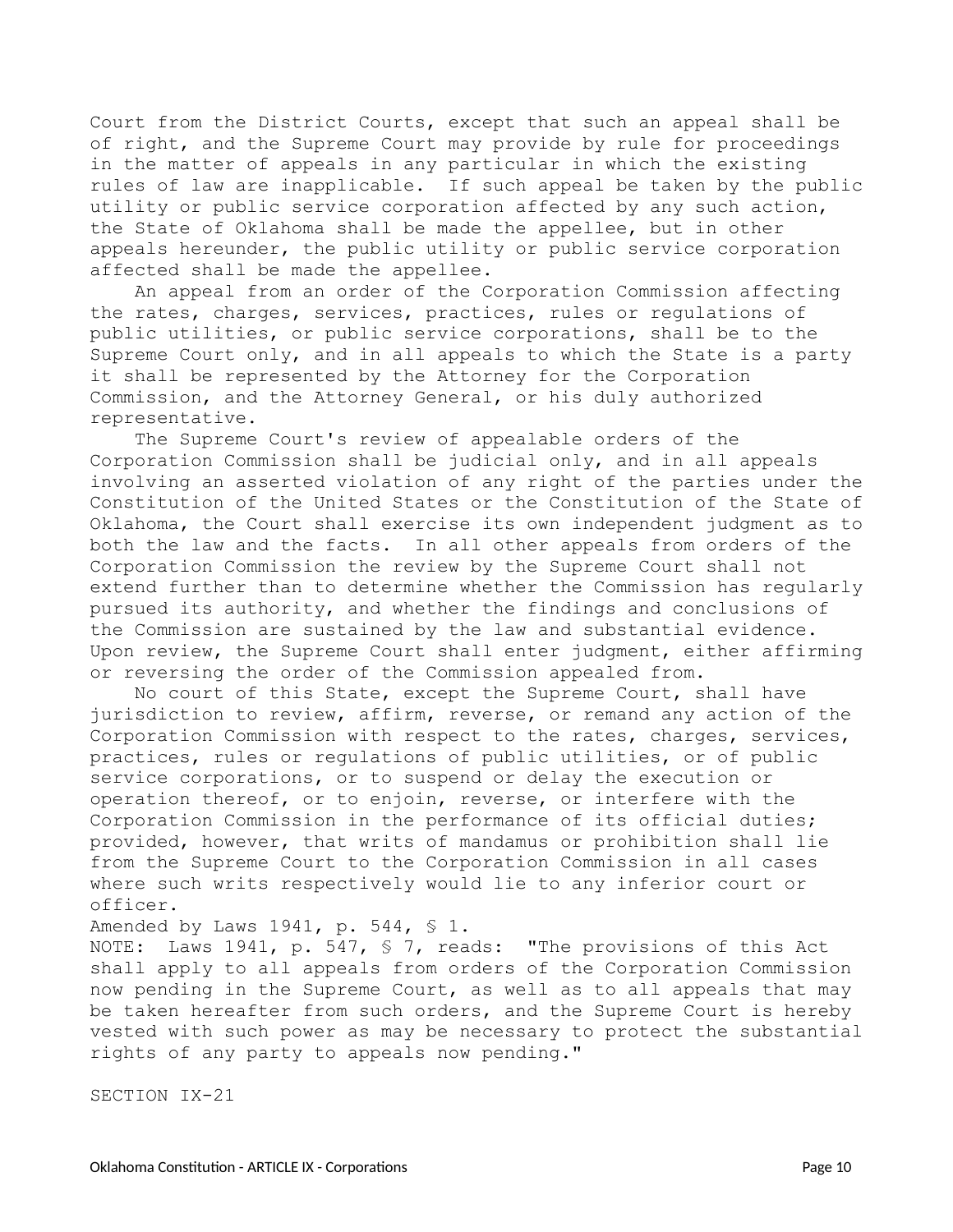Court from the District Courts, except that such an appeal shall be of right, and the Supreme Court may provide by rule for proceedings in the matter of appeals in any particular in which the existing rules of law are inapplicable. If such appeal be taken by the public utility or public service corporation affected by any such action, the State of Oklahoma shall be made the appellee, but in other appeals hereunder, the public utility or public service corporation affected shall be made the appellee.

An appeal from an order of the Corporation Commission affecting the rates, charges, services, practices, rules or regulations of public utilities, or public service corporations, shall be to the Supreme Court only, and in all appeals to which the State is a party it shall be represented by the Attorney for the Corporation Commission, and the Attorney General, or his duly authorized representative.

The Supreme Court's review of appealable orders of the Corporation Commission shall be judicial only, and in all appeals involving an asserted violation of any right of the parties under the Constitution of the United States or the Constitution of the State of Oklahoma, the Court shall exercise its own independent judgment as to both the law and the facts. In all other appeals from orders of the Corporation Commission the review by the Supreme Court shall not extend further than to determine whether the Commission has regularly pursued its authority, and whether the findings and conclusions of the Commission are sustained by the law and substantial evidence. Upon review, the Supreme Court shall enter judgment, either affirming or reversing the order of the Commission appealed from.

No court of this State, except the Supreme Court, shall have jurisdiction to review, affirm, reverse, or remand any action of the Corporation Commission with respect to the rates, charges, services, practices, rules or regulations of public utilities, or of public service corporations, or to suspend or delay the execution or operation thereof, or to enjoin, reverse, or interfere with the Corporation Commission in the performance of its official duties; provided, however, that writs of mandamus or prohibition shall lie from the Supreme Court to the Corporation Commission in all cases where such writs respectively would lie to any inferior court or officer.

Amended by Laws 1941, p. 544, § 1.

NOTE: Laws 1941, p. 547, § 7, reads: "The provisions of this Act shall apply to all appeals from orders of the Corporation Commission now pending in the Supreme Court, as well as to all appeals that may be taken hereafter from such orders, and the Supreme Court is hereby vested with such power as may be necessary to protect the substantial rights of any party to appeals now pending."

SECTION IX-21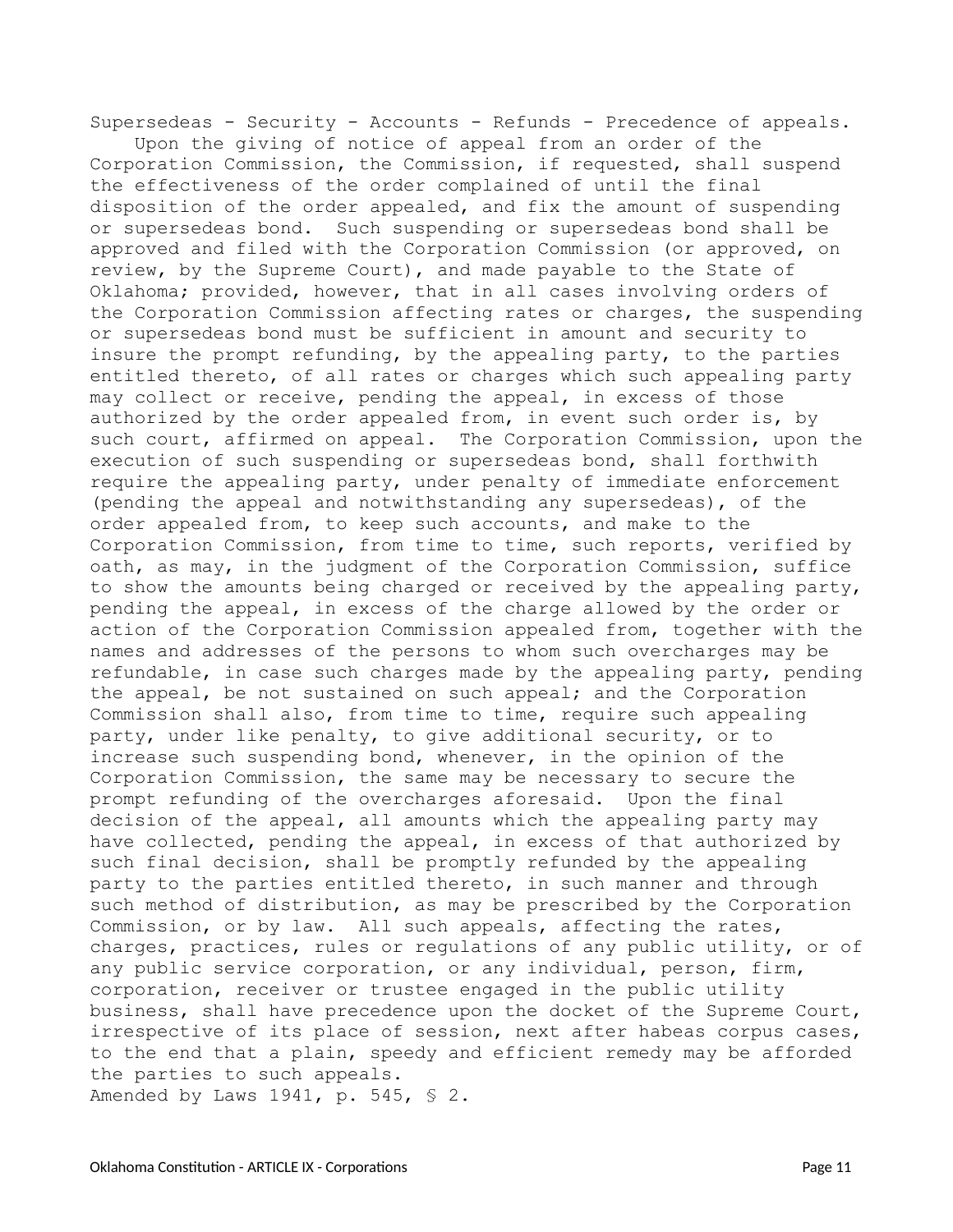Supersedeas - Security - Accounts - Refunds - Precedence of appeals. Upon the giving of notice of appeal from an order of the Corporation Commission, the Commission, if requested, shall suspend the effectiveness of the order complained of until the final disposition of the order appealed, and fix the amount of suspending or supersedeas bond. Such suspending or supersedeas bond shall be approved and filed with the Corporation Commission (or approved, on review, by the Supreme Court), and made payable to the State of Oklahoma; provided, however, that in all cases involving orders of the Corporation Commission affecting rates or charges, the suspending or supersedeas bond must be sufficient in amount and security to insure the prompt refunding, by the appealing party, to the parties entitled thereto, of all rates or charges which such appealing party may collect or receive, pending the appeal, in excess of those authorized by the order appealed from, in event such order is, by such court, affirmed on appeal. The Corporation Commission, upon the execution of such suspending or supersedeas bond, shall forthwith require the appealing party, under penalty of immediate enforcement (pending the appeal and notwithstanding any supersedeas), of the order appealed from, to keep such accounts, and make to the Corporation Commission, from time to time, such reports, verified by oath, as may, in the judgment of the Corporation Commission, suffice to show the amounts being charged or received by the appealing party, pending the appeal, in excess of the charge allowed by the order or action of the Corporation Commission appealed from, together with the names and addresses of the persons to whom such overcharges may be refundable, in case such charges made by the appealing party, pending the appeal, be not sustained on such appeal; and the Corporation Commission shall also, from time to time, require such appealing party, under like penalty, to give additional security, or to increase such suspending bond, whenever, in the opinion of the Corporation Commission, the same may be necessary to secure the prompt refunding of the overcharges aforesaid. Upon the final decision of the appeal, all amounts which the appealing party may have collected, pending the appeal, in excess of that authorized by such final decision, shall be promptly refunded by the appealing party to the parties entitled thereto, in such manner and through such method of distribution, as may be prescribed by the Corporation Commission, or by law. All such appeals, affecting the rates, charges, practices, rules or regulations of any public utility, or of any public service corporation, or any individual, person, firm, corporation, receiver or trustee engaged in the public utility business, shall have precedence upon the docket of the Supreme Court, irrespective of its place of session, next after habeas corpus cases, to the end that a plain, speedy and efficient remedy may be afforded the parties to such appeals. Amended by Laws 1941, p. 545, § 2.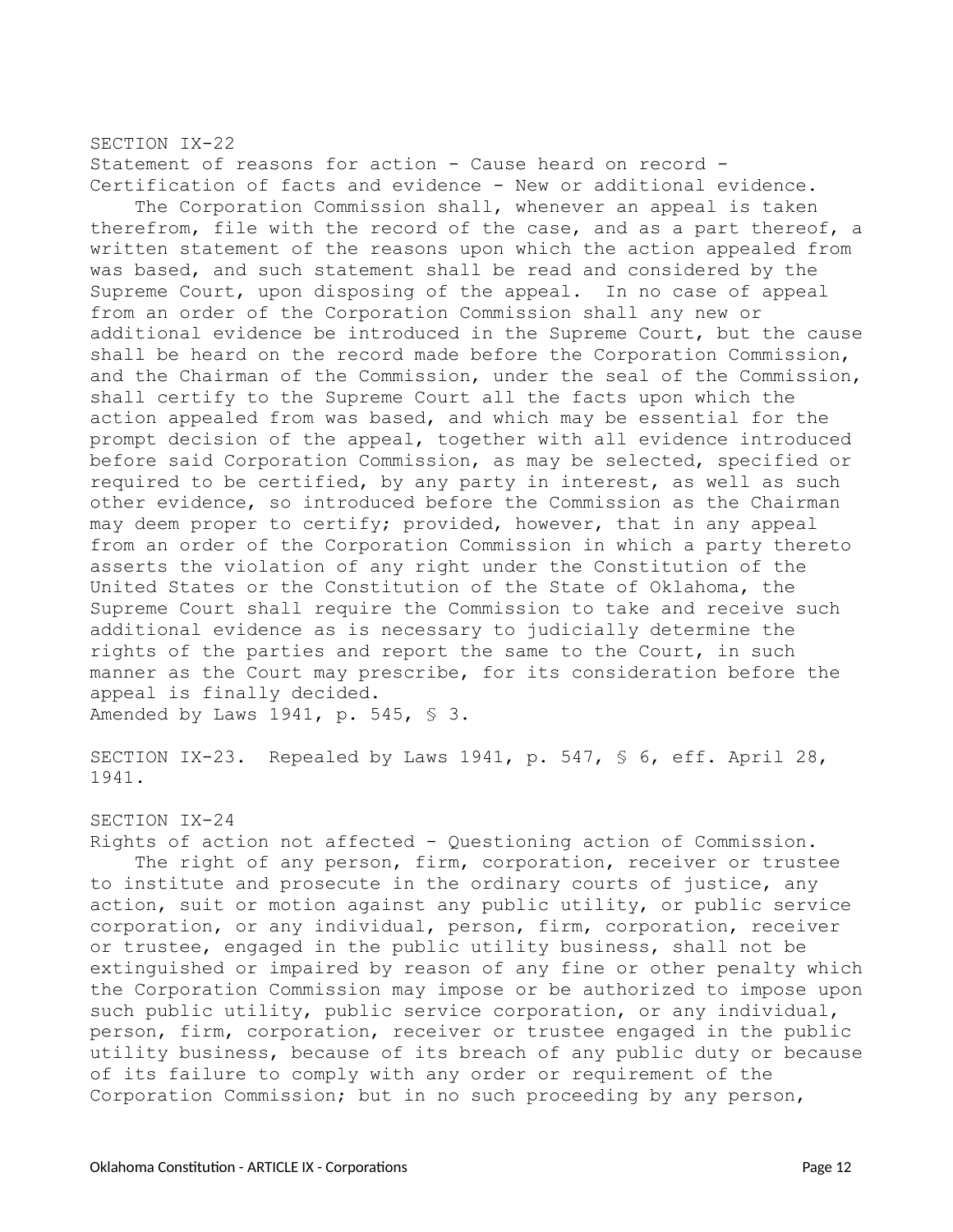SECTION IX-22 Statement of reasons for action - Cause heard on record - Certification of facts and evidence - New or additional evidence.

The Corporation Commission shall, whenever an appeal is taken therefrom, file with the record of the case, and as a part thereof, a written statement of the reasons upon which the action appealed from was based, and such statement shall be read and considered by the Supreme Court, upon disposing of the appeal. In no case of appeal from an order of the Corporation Commission shall any new or additional evidence be introduced in the Supreme Court, but the cause shall be heard on the record made before the Corporation Commission, and the Chairman of the Commission, under the seal of the Commission, shall certify to the Supreme Court all the facts upon which the action appealed from was based, and which may be essential for the prompt decision of the appeal, together with all evidence introduced before said Corporation Commission, as may be selected, specified or required to be certified, by any party in interest, as well as such other evidence, so introduced before the Commission as the Chairman may deem proper to certify; provided, however, that in any appeal from an order of the Corporation Commission in which a party thereto asserts the violation of any right under the Constitution of the United States or the Constitution of the State of Oklahoma, the Supreme Court shall require the Commission to take and receive such additional evidence as is necessary to judicially determine the rights of the parties and report the same to the Court, in such manner as the Court may prescribe, for its consideration before the appeal is finally decided.

Amended by Laws 1941, p. 545, § 3.

SECTION IX-23. Repealed by Laws 1941, p. 547, § 6, eff. April 28, 1941.

# SECTION IX-24

Rights of action not affected - Questioning action of Commission. The right of any person, firm, corporation, receiver or trustee to institute and prosecute in the ordinary courts of justice, any action, suit or motion against any public utility, or public service corporation, or any individual, person, firm, corporation, receiver or trustee, engaged in the public utility business, shall not be extinguished or impaired by reason of any fine or other penalty which the Corporation Commission may impose or be authorized to impose upon such public utility, public service corporation, or any individual, person, firm, corporation, receiver or trustee engaged in the public utility business, because of its breach of any public duty or because of its failure to comply with any order or requirement of the Corporation Commission; but in no such proceeding by any person,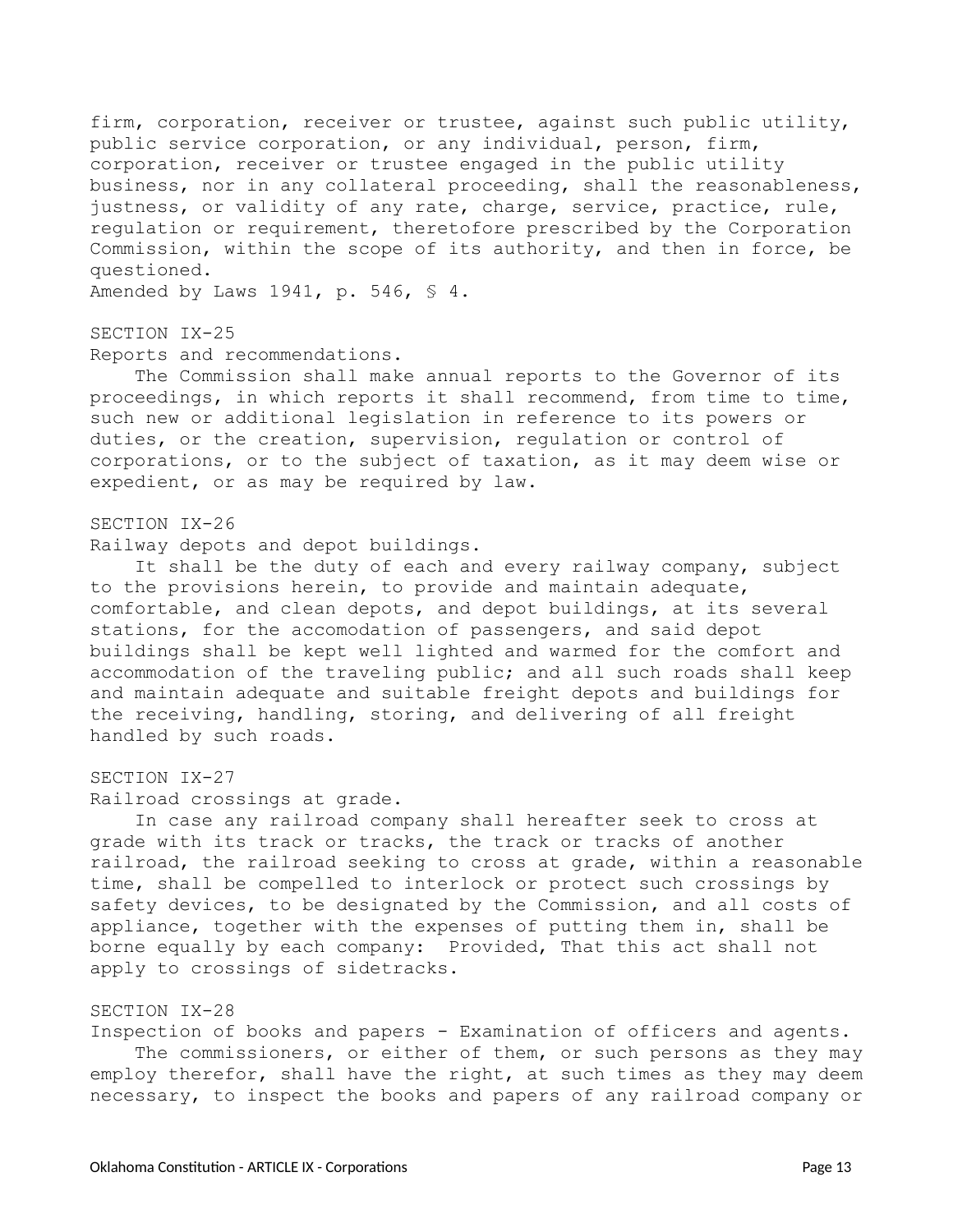firm, corporation, receiver or trustee, against such public utility, public service corporation, or any individual, person, firm, corporation, receiver or trustee engaged in the public utility business, nor in any collateral proceeding, shall the reasonableness, justness, or validity of any rate, charge, service, practice, rule, regulation or requirement, theretofore prescribed by the Corporation Commission, within the scope of its authority, and then in force, be questioned.

Amended by Laws 1941, p. 546, § 4.

### SECTION IX-25

Reports and recommendations.

The Commission shall make annual reports to the Governor of its proceedings, in which reports it shall recommend, from time to time, such new or additional legislation in reference to its powers or duties, or the creation, supervision, regulation or control of corporations, or to the subject of taxation, as it may deem wise or expedient, or as may be required by law.

### SECTION IX-26

Railway depots and depot buildings.

It shall be the duty of each and every railway company, subject to the provisions herein, to provide and maintain adequate, comfortable, and clean depots, and depot buildings, at its several stations, for the accomodation of passengers, and said depot buildings shall be kept well lighted and warmed for the comfort and accommodation of the traveling public; and all such roads shall keep and maintain adequate and suitable freight depots and buildings for the receiving, handling, storing, and delivering of all freight handled by such roads.

#### SECTION IX-27

Railroad crossings at grade.

In case any railroad company shall hereafter seek to cross at grade with its track or tracks, the track or tracks of another railroad, the railroad seeking to cross at grade, within a reasonable time, shall be compelled to interlock or protect such crossings by safety devices, to be designated by the Commission, and all costs of appliance, together with the expenses of putting them in, shall be borne equally by each company: Provided, That this act shall not apply to crossings of sidetracks.

### SECTION IX-28

Inspection of books and papers - Examination of officers and agents. The commissioners, or either of them, or such persons as they may employ therefor, shall have the right, at such times as they may deem necessary, to inspect the books and papers of any railroad company or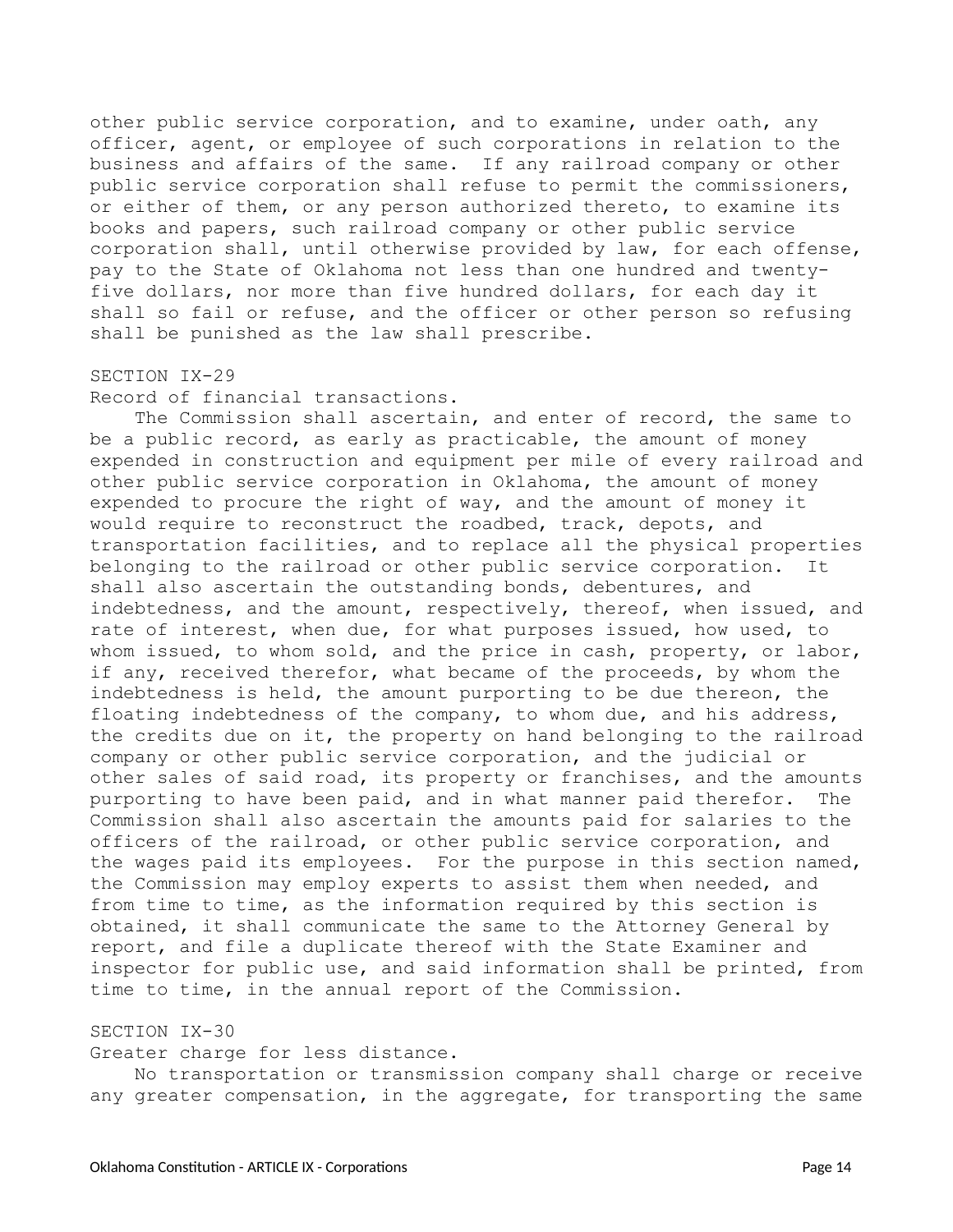other public service corporation, and to examine, under oath, any officer, agent, or employee of such corporations in relation to the business and affairs of the same. If any railroad company or other public service corporation shall refuse to permit the commissioners, or either of them, or any person authorized thereto, to examine its books and papers, such railroad company or other public service corporation shall, until otherwise provided by law, for each offense, pay to the State of Oklahoma not less than one hundred and twentyfive dollars, nor more than five hundred dollars, for each day it shall so fail or refuse, and the officer or other person so refusing shall be punished as the law shall prescribe.

# SECTION IX-29

Record of financial transactions.

The Commission shall ascertain, and enter of record, the same to be a public record, as early as practicable, the amount of money expended in construction and equipment per mile of every railroad and other public service corporation in Oklahoma, the amount of money expended to procure the right of way, and the amount of money it would require to reconstruct the roadbed, track, depots, and transportation facilities, and to replace all the physical properties belonging to the railroad or other public service corporation. It shall also ascertain the outstanding bonds, debentures, and indebtedness, and the amount, respectively, thereof, when issued, and rate of interest, when due, for what purposes issued, how used, to whom issued, to whom sold, and the price in cash, property, or labor, if any, received therefor, what became of the proceeds, by whom the indebtedness is held, the amount purporting to be due thereon, the floating indebtedness of the company, to whom due, and his address, the credits due on it, the property on hand belonging to the railroad company or other public service corporation, and the judicial or other sales of said road, its property or franchises, and the amounts purporting to have been paid, and in what manner paid therefor. The Commission shall also ascertain the amounts paid for salaries to the officers of the railroad, or other public service corporation, and the wages paid its employees. For the purpose in this section named, the Commission may employ experts to assist them when needed, and from time to time, as the information required by this section is obtained, it shall communicate the same to the Attorney General by report, and file a duplicate thereof with the State Examiner and inspector for public use, and said information shall be printed, from time to time, in the annual report of the Commission.

### SECTION IX-30

Greater charge for less distance.

No transportation or transmission company shall charge or receive any greater compensation, in the aggregate, for transporting the same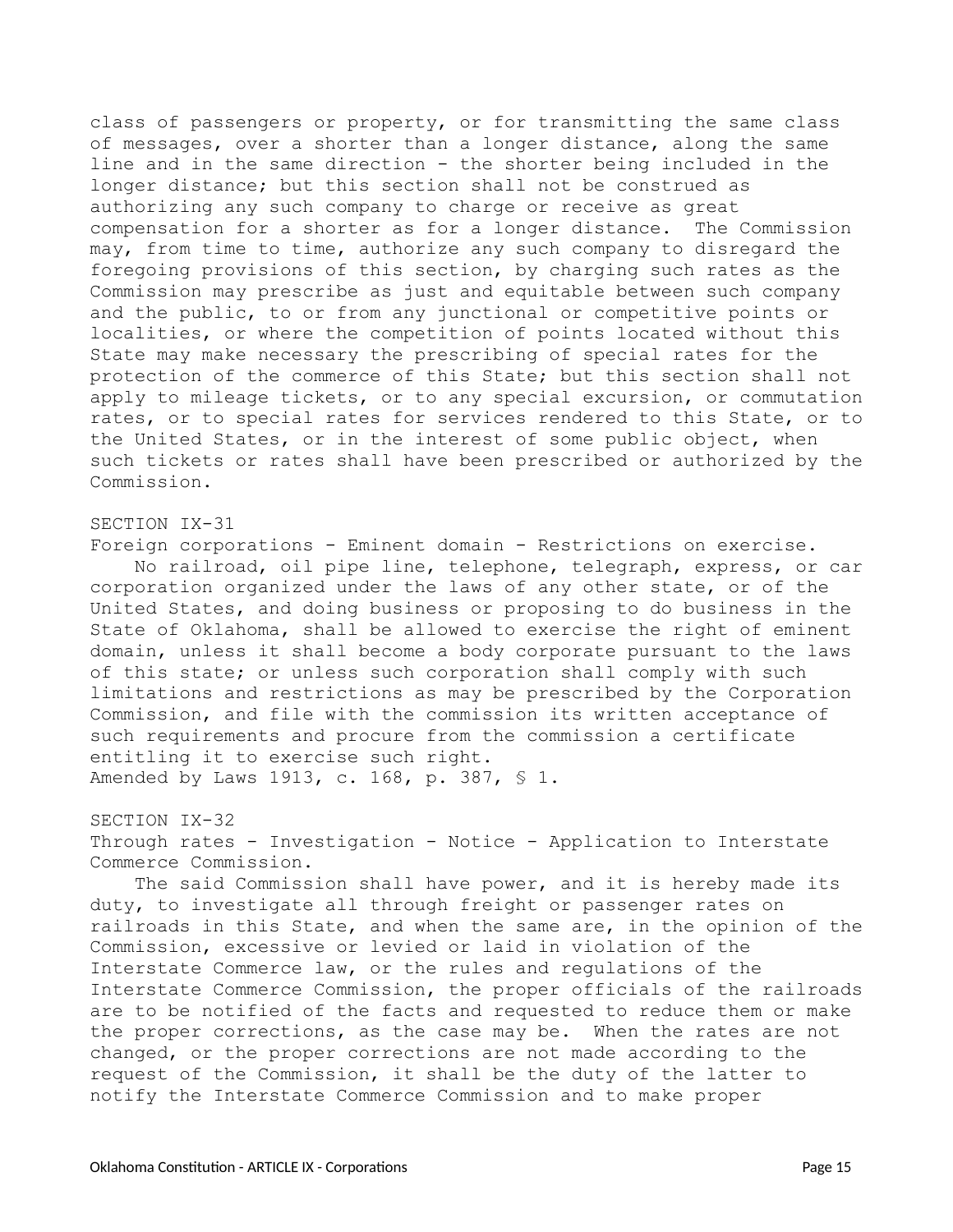class of passengers or property, or for transmitting the same class of messages, over a shorter than a longer distance, along the same line and in the same direction - the shorter being included in the longer distance; but this section shall not be construed as authorizing any such company to charge or receive as great compensation for a shorter as for a longer distance. The Commission may, from time to time, authorize any such company to disregard the foregoing provisions of this section, by charging such rates as the Commission may prescribe as just and equitable between such company and the public, to or from any junctional or competitive points or localities, or where the competition of points located without this State may make necessary the prescribing of special rates for the protection of the commerce of this State; but this section shall not apply to mileage tickets, or to any special excursion, or commutation rates, or to special rates for services rendered to this State, or to the United States, or in the interest of some public object, when such tickets or rates shall have been prescribed or authorized by the Commission.

### SECTION IX-31

Foreign corporations - Eminent domain - Restrictions on exercise. No railroad, oil pipe line, telephone, telegraph, express, or car corporation organized under the laws of any other state, or of the United States, and doing business or proposing to do business in the State of Oklahoma, shall be allowed to exercise the right of eminent domain, unless it shall become a body corporate pursuant to the laws of this state; or unless such corporation shall comply with such limitations and restrictions as may be prescribed by the Corporation Commission, and file with the commission its written acceptance of such requirements and procure from the commission a certificate entitling it to exercise such right. Amended by Laws 1913, c. 168, p. 387, § 1.

SECTION IX-32 Through rates - Investigation - Notice - Application to Interstate Commerce Commission.

The said Commission shall have power, and it is hereby made its duty, to investigate all through freight or passenger rates on railroads in this State, and when the same are, in the opinion of the Commission, excessive or levied or laid in violation of the Interstate Commerce law, or the rules and regulations of the Interstate Commerce Commission, the proper officials of the railroads are to be notified of the facts and requested to reduce them or make the proper corrections, as the case may be. When the rates are not changed, or the proper corrections are not made according to the request of the Commission, it shall be the duty of the latter to notify the Interstate Commerce Commission and to make proper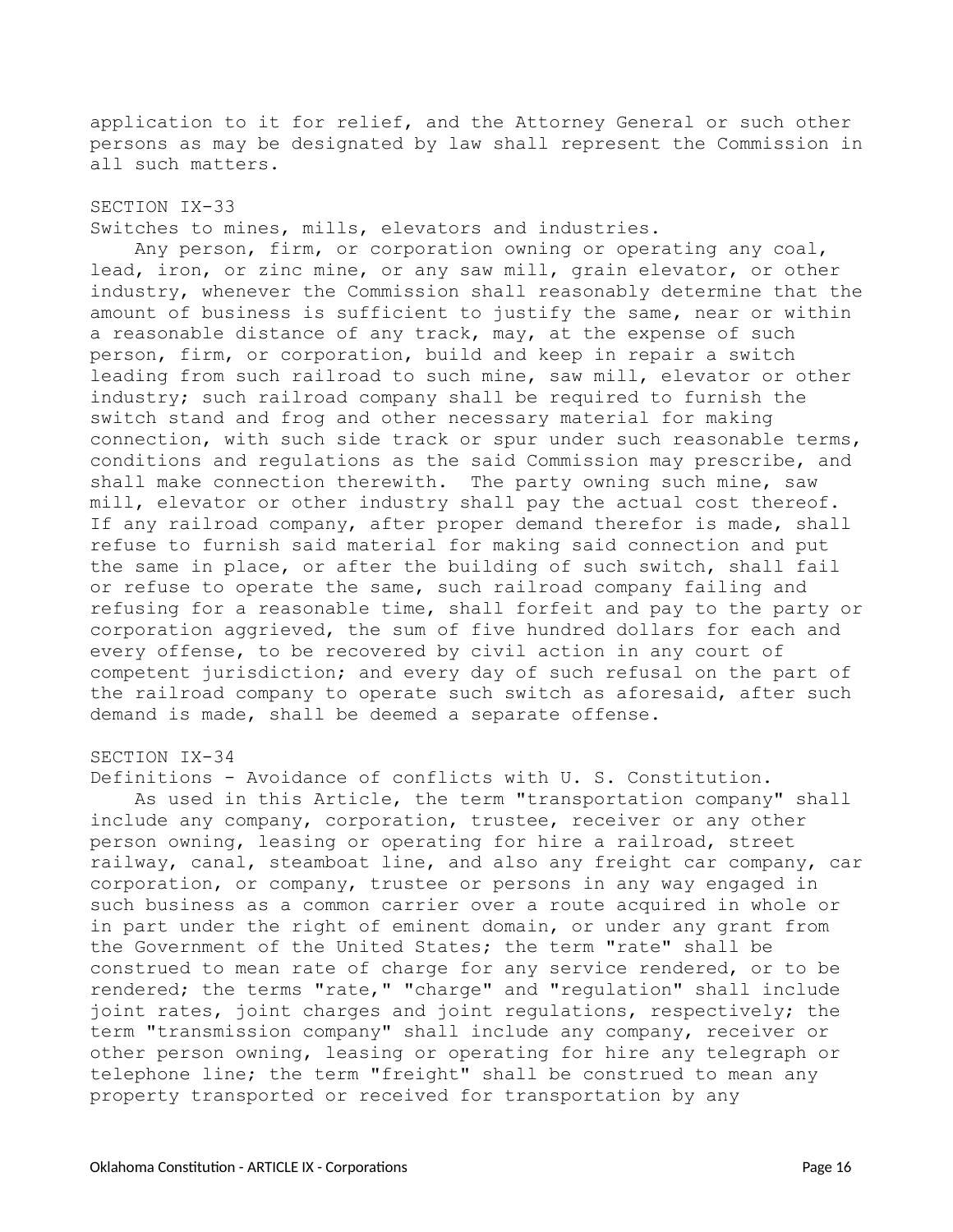application to it for relief, and the Attorney General or such other persons as may be designated by law shall represent the Commission in all such matters.

# SECTION IX-33

# Switches to mines, mills, elevators and industries.

Any person, firm, or corporation owning or operating any coal, lead, iron, or zinc mine, or any saw mill, grain elevator, or other industry, whenever the Commission shall reasonably determine that the amount of business is sufficient to justify the same, near or within a reasonable distance of any track, may, at the expense of such person, firm, or corporation, build and keep in repair a switch leading from such railroad to such mine, saw mill, elevator or other industry; such railroad company shall be required to furnish the switch stand and frog and other necessary material for making connection, with such side track or spur under such reasonable terms, conditions and regulations as the said Commission may prescribe, and shall make connection therewith. The party owning such mine, saw mill, elevator or other industry shall pay the actual cost thereof. If any railroad company, after proper demand therefor is made, shall refuse to furnish said material for making said connection and put the same in place, or after the building of such switch, shall fail or refuse to operate the same, such railroad company failing and refusing for a reasonable time, shall forfeit and pay to the party or corporation aggrieved, the sum of five hundred dollars for each and every offense, to be recovered by civil action in any court of competent jurisdiction; and every day of such refusal on the part of the railroad company to operate such switch as aforesaid, after such demand is made, shall be deemed a separate offense.

#### SECTION IX-34

#### Definitions - Avoidance of conflicts with U. S. Constitution.

As used in this Article, the term "transportation company" shall include any company, corporation, trustee, receiver or any other person owning, leasing or operating for hire a railroad, street railway, canal, steamboat line, and also any freight car company, car corporation, or company, trustee or persons in any way engaged in such business as a common carrier over a route acquired in whole or in part under the right of eminent domain, or under any grant from the Government of the United States; the term "rate" shall be construed to mean rate of charge for any service rendered, or to be rendered; the terms "rate," "charge" and "regulation" shall include joint rates, joint charges and joint regulations, respectively; the term "transmission company" shall include any company, receiver or other person owning, leasing or operating for hire any telegraph or telephone line; the term "freight" shall be construed to mean any property transported or received for transportation by any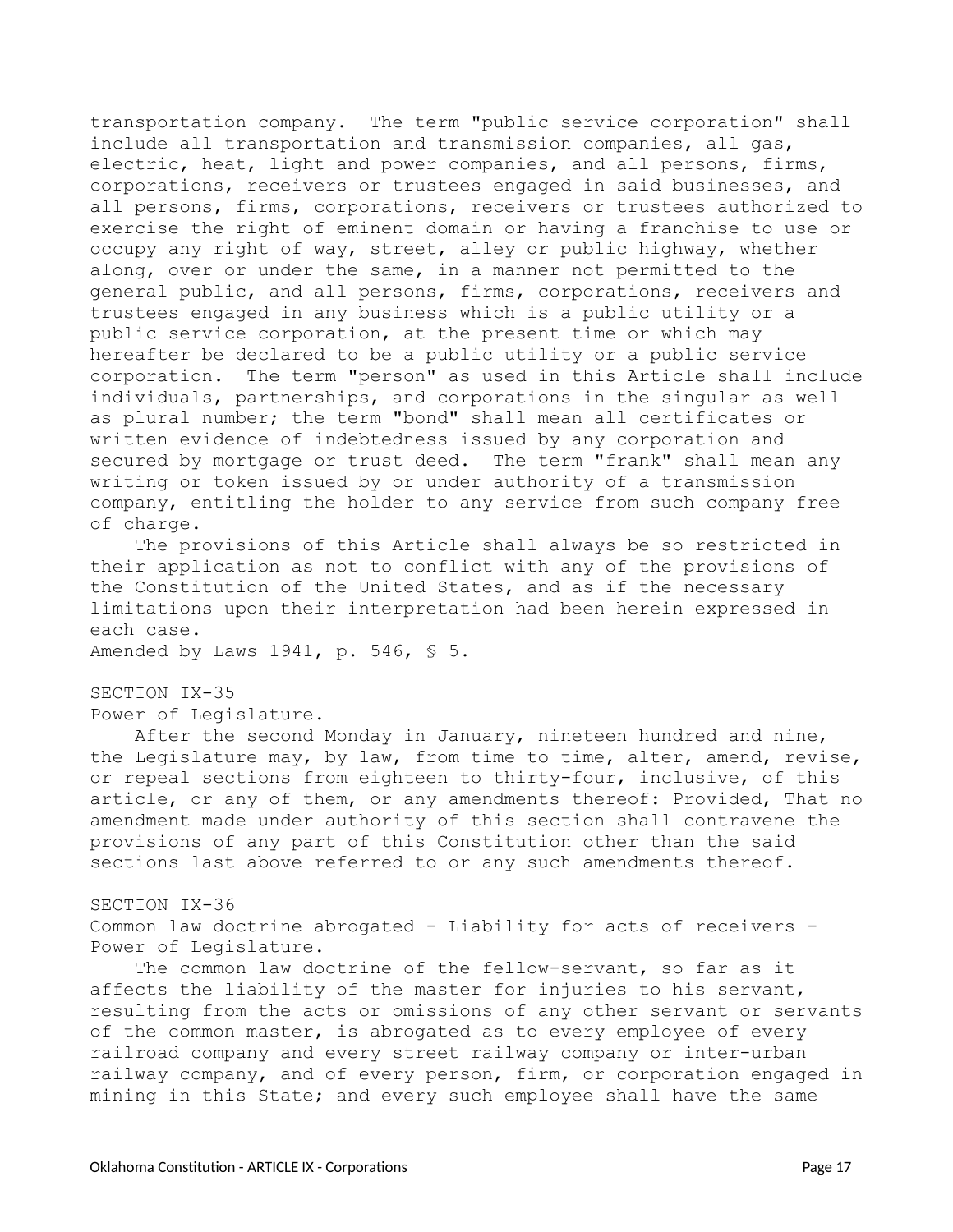transportation company. The term "public service corporation" shall include all transportation and transmission companies, all gas, electric, heat, light and power companies, and all persons, firms, corporations, receivers or trustees engaged in said businesses, and all persons, firms, corporations, receivers or trustees authorized to exercise the right of eminent domain or having a franchise to use or occupy any right of way, street, alley or public highway, whether along, over or under the same, in a manner not permitted to the general public, and all persons, firms, corporations, receivers and trustees engaged in any business which is a public utility or a public service corporation, at the present time or which may hereafter be declared to be a public utility or a public service corporation. The term "person" as used in this Article shall include individuals, partnerships, and corporations in the singular as well as plural number; the term "bond" shall mean all certificates or written evidence of indebtedness issued by any corporation and secured by mortgage or trust deed. The term "frank" shall mean any writing or token issued by or under authority of a transmission company, entitling the holder to any service from such company free of charge.

The provisions of this Article shall always be so restricted in their application as not to conflict with any of the provisions of the Constitution of the United States, and as if the necessary limitations upon their interpretation had been herein expressed in each case.

Amended by Laws 1941, p. 546, § 5.

#### SECTION IX-35

Power of Legislature.

After the second Monday in January, nineteen hundred and nine, the Legislature may, by law, from time to time, alter, amend, revise, or repeal sections from eighteen to thirty-four, inclusive, of this article, or any of them, or any amendments thereof: Provided, That no amendment made under authority of this section shall contravene the provisions of any part of this Constitution other than the said sections last above referred to or any such amendments thereof.

# SECTION IX-36 Common law doctrine abrogated - Liability for acts of receivers - Power of Legislature.

The common law doctrine of the fellow-servant, so far as it affects the liability of the master for injuries to his servant, resulting from the acts or omissions of any other servant or servants of the common master, is abrogated as to every employee of every railroad company and every street railway company or inter-urban railway company, and of every person, firm, or corporation engaged in mining in this State; and every such employee shall have the same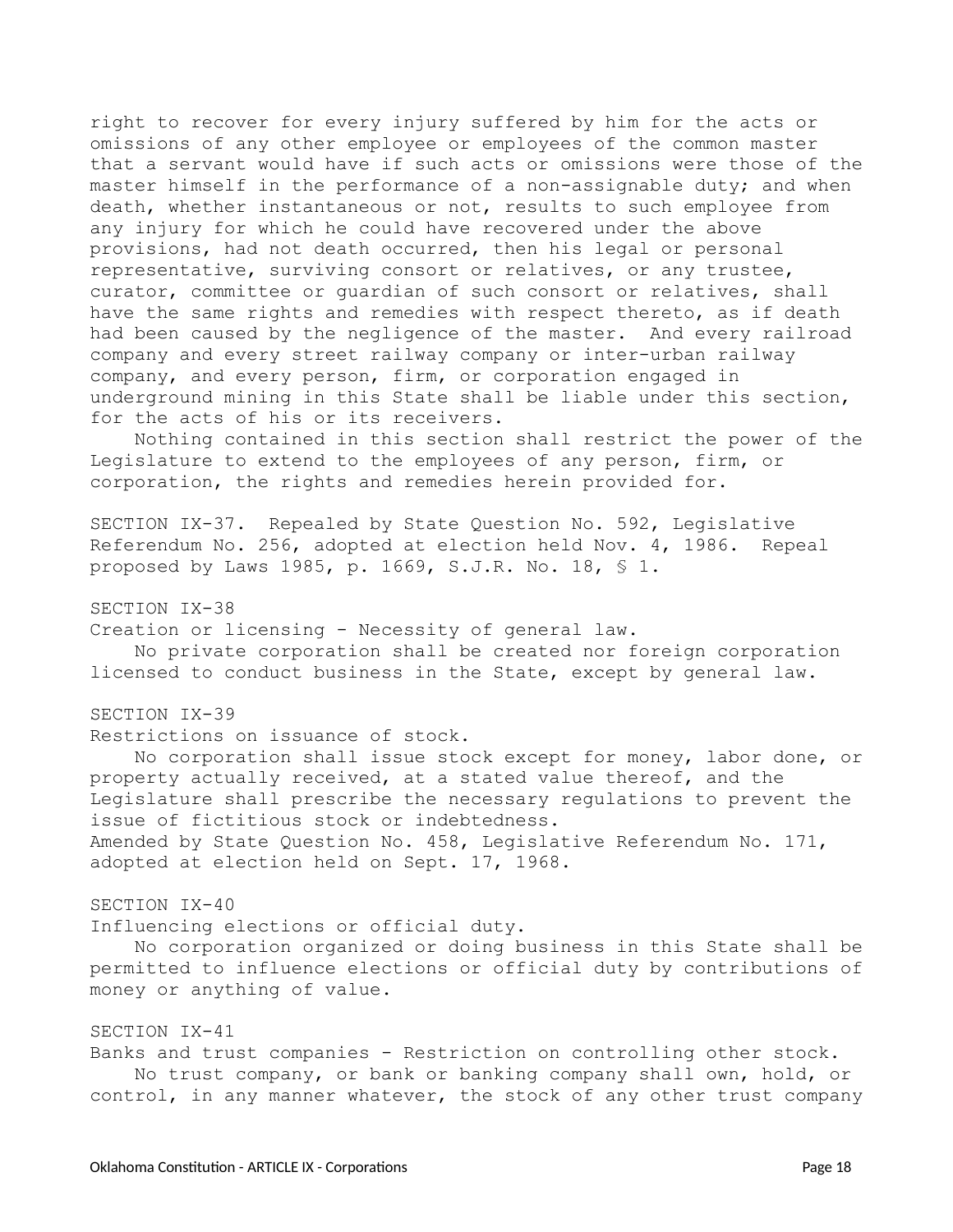right to recover for every injury suffered by him for the acts or omissions of any other employee or employees of the common master that a servant would have if such acts or omissions were those of the master himself in the performance of a non-assignable duty; and when death, whether instantaneous or not, results to such employee from any injury for which he could have recovered under the above provisions, had not death occurred, then his legal or personal representative, surviving consort or relatives, or any trustee, curator, committee or guardian of such consort or relatives, shall have the same rights and remedies with respect thereto, as if death had been caused by the negligence of the master. And every railroad company and every street railway company or inter-urban railway company, and every person, firm, or corporation engaged in underground mining in this State shall be liable under this section, for the acts of his or its receivers.

Nothing contained in this section shall restrict the power of the Legislature to extend to the employees of any person, firm, or corporation, the rights and remedies herein provided for.

SECTION IX-37. Repealed by State Question No. 592, Legislative Referendum No. 256, adopted at election held Nov. 4, 1986. Repeal proposed by Laws 1985, p. 1669, S.J.R. No. 18, § 1.

# SECTION IX-38

Creation or licensing - Necessity of general law.

No private corporation shall be created nor foreign corporation licensed to conduct business in the State, except by general law.

# SECTION TX-39

Restrictions on issuance of stock.

No corporation shall issue stock except for money, labor done, or property actually received, at a stated value thereof, and the Legislature shall prescribe the necessary regulations to prevent the issue of fictitious stock or indebtedness. Amended by State Question No. 458, Legislative Referendum No. 171, adopted at election held on Sept. 17, 1968.

#### SECTION IX-40

Influencing elections or official duty.

No corporation organized or doing business in this State shall be permitted to influence elections or official duty by contributions of money or anything of value.

### SECTION IX-41

Banks and trust companies - Restriction on controlling other stock. No trust company, or bank or banking company shall own, hold, or control, in any manner whatever, the stock of any other trust company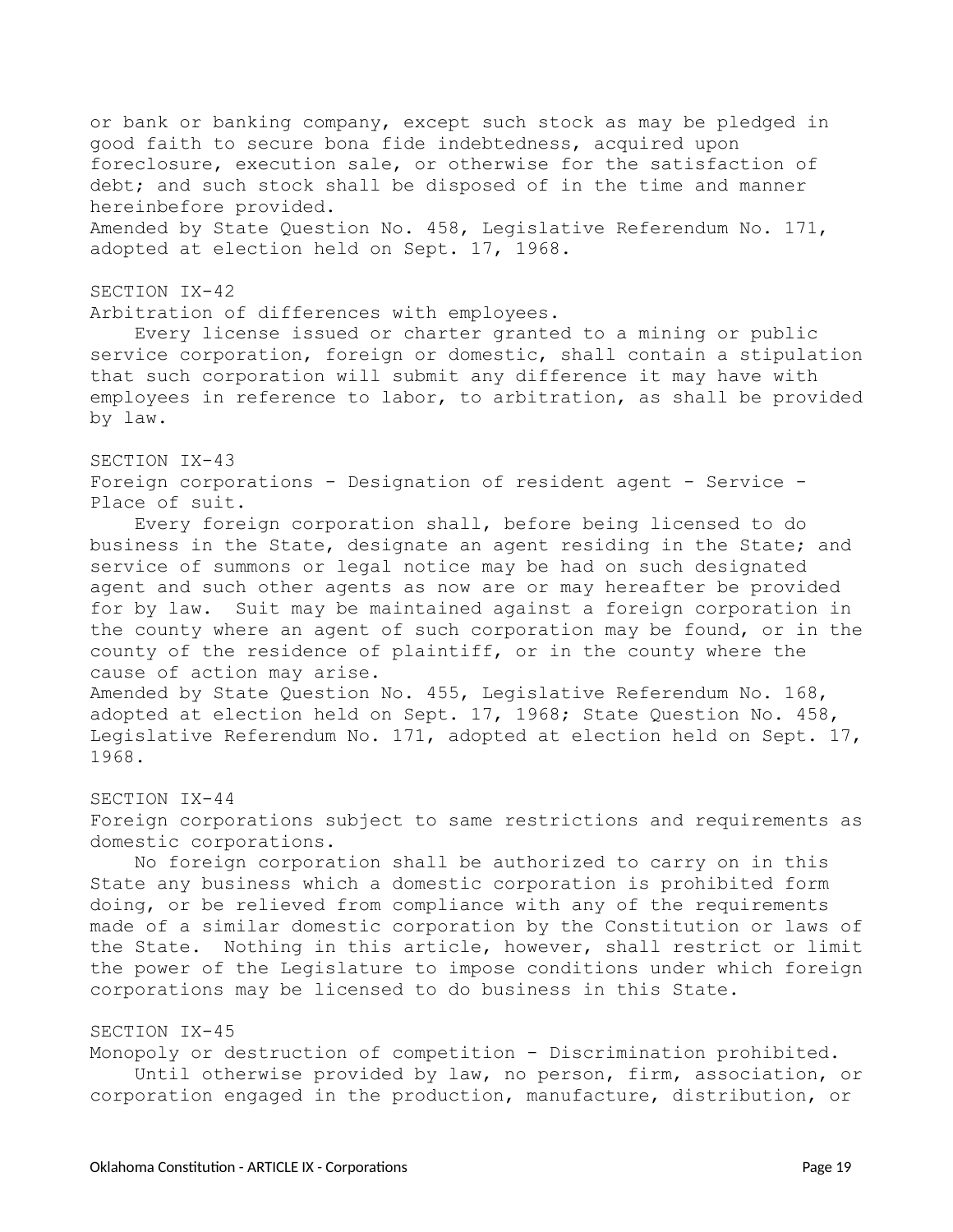or bank or banking company, except such stock as may be pledged in good faith to secure bona fide indebtedness, acquired upon foreclosure, execution sale, or otherwise for the satisfaction of debt; and such stock shall be disposed of in the time and manner hereinbefore provided.

Amended by State Question No. 458, Legislative Referendum No. 171, adopted at election held on Sept. 17, 1968.

#### SECTION IX-42

Arbitration of differences with employees.

Every license issued or charter granted to a mining or public service corporation, foreign or domestic, shall contain a stipulation that such corporation will submit any difference it may have with employees in reference to labor, to arbitration, as shall be provided by law.

### SECTION IX-43

Foreign corporations - Designation of resident agent - Service - Place of suit.

Every foreign corporation shall, before being licensed to do business in the State, designate an agent residing in the State; and service of summons or legal notice may be had on such designated agent and such other agents as now are or may hereafter be provided for by law. Suit may be maintained against a foreign corporation in the county where an agent of such corporation may be found, or in the county of the residence of plaintiff, or in the county where the cause of action may arise.

Amended by State Question No. 455, Legislative Referendum No. 168, adopted at election held on Sept. 17, 1968; State Question No. 458, Legislative Referendum No. 171, adopted at election held on Sept. 17, 1968.

### SECTION IX-44

Foreign corporations subject to same restrictions and requirements as domestic corporations.

No foreign corporation shall be authorized to carry on in this State any business which a domestic corporation is prohibited form doing, or be relieved from compliance with any of the requirements made of a similar domestic corporation by the Constitution or laws of the State. Nothing in this article, however, shall restrict or limit the power of the Legislature to impose conditions under which foreign corporations may be licensed to do business in this State.

#### SECTION IX-45

Monopoly or destruction of competition - Discrimination prohibited. Until otherwise provided by law, no person, firm, association, or corporation engaged in the production, manufacture, distribution, or